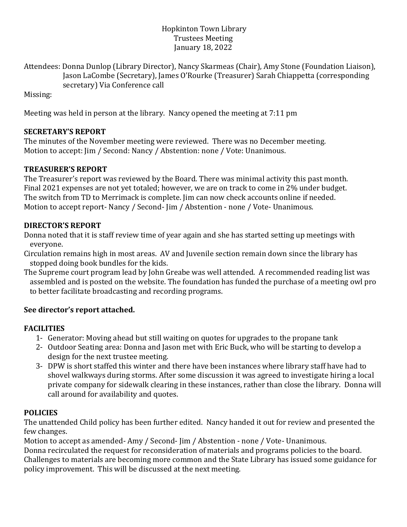#### Hopkinton Town Library Trustees Meeting January 18, 2022

Attendees: Donna Dunlop (Library Director), Nancy Skarmeas (Chair), Amy Stone (Foundation Liaison), Jason LaCombe (Secretary), James O'Rourke (Treasurer) Sarah Chiappetta (corresponding secretary) Via Conference call

Missing:

Meeting was held in person at the library. Nancy opened the meeting at 7:11 pm

## **SECRETARY'S REPORT**

The minutes of the November meeting were reviewed. There was no December meeting. Motion to accept: Jim / Second: Nancy / Abstention: none / Vote: Unanimous.

## **TREASURER'S REPORT**

The Treasurer's report was reviewed by the Board. There was minimal activity this past month. Final 2021 expenses are not yet totaled; however, we are on track to come in 2% under budget. The switch from TD to Merrimack is complete. Jim can now check accounts online if needed. Motion to accept report- Nancy / Second- Jim / Abstention - none / Vote- Unanimous.

## **DIRECTOR'S REPORT**

Donna noted that it is staff review time of year again and she has started setting up meetings with everyone.

Circulation remains high in most areas. AV and Juvenile section remain down since the library has stopped doing book bundles for the kids.

The Supreme court program lead by John Greabe was well attended. A recommended reading list was assembled and is posted on the website. The foundation has funded the purchase of a meeting owl pro to better facilitate broadcasting and recording programs.

# **See director's report attached.**

### **FACILITIES**

- 1- Generator: Moving ahead but still waiting on quotes for upgrades to the propane tank
- 2- Outdoor Seating area: Donna and Jason met with Eric Buck, who will be starting to develop a design for the next trustee meeting.
- 3- DPW is short staffed this winter and there have been instances where library staff have had to shovel walkways during storms. After some discussion it was agreed to investigate hiring a local private company for sidewalk clearing in these instances, rather than close the library. Donna will call around for availability and quotes.

# **POLICIES**

The unattended Child policy has been further edited. Nancy handed it out for review and presented the few changes.

Motion to accept as amended- Amy / Second- Jim / Abstention - none / Vote- Unanimous. Donna recirculated the request for reconsideration of materials and programs policies to the board. Challenges to materials are becoming more common and the State Library has issued some guidance for policy improvement. This will be discussed at the next meeting.